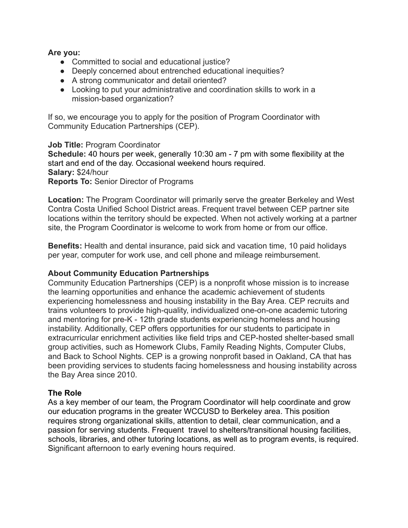#### **Are you:**

- Committed to social and educational justice?
- Deeply concerned about entrenched educational inequities?
- A strong communicator and detail oriented?
- Looking to put your administrative and coordination skills to work in a mission-based organization?

If so, we encourage you to apply for the position of Program Coordinator with Community Education Partnerships (CEP).

**Job Title:** Program Coordinator **Schedule:** 40 hours per week, generally 10:30 am - 7 pm with some flexibility at the start and end of the day. Occasional weekend hours required. **Salary:** \$24/hour **Reports To:** Senior Director of Programs

**Location:** The Program Coordinator will primarily serve the greater Berkeley and West Contra Costa Unified School District areas. Frequent travel between CEP partner site locations within the territory should be expected. When not actively working at a partner site, the Program Coordinator is welcome to work from home or from our office.

**Benefits:** Health and dental insurance, paid sick and vacation time, 10 paid holidays per year, computer for work use, and cell phone and mileage reimbursement.

#### **About Community Education Partnerships**

Community Education Partnerships (CEP) is a nonprofit whose mission is to increase the learning opportunities and enhance the academic achievement of students experiencing homelessness and housing instability in the Bay Area. CEP recruits and trains volunteers to provide high-quality, individualized one-on-one academic tutoring and mentoring for pre-K - 12th grade students experiencing homeless and housing instability. Additionally, CEP offers opportunities for our students to participate in extracurricular enrichment activities like field trips and CEP-hosted shelter-based small group activities, such as Homework Clubs, Family Reading Nights, Computer Clubs, and Back to School Nights. CEP is a growing nonprofit based in Oakland, CA that has been providing services to students facing homelessness and housing instability across the Bay Area since 2010.

#### **The Role**

As a key member of our team, the Program Coordinator will help coordinate and grow our education programs in the greater WCCUSD to Berkeley area. This position requires strong organizational skills, attention to detail, clear communication, and a passion for serving students. Frequent travel to shelters/transitional housing facilities, schools, libraries, and other tutoring locations, as well as to program events, is required. Significant afternoon to early evening hours required.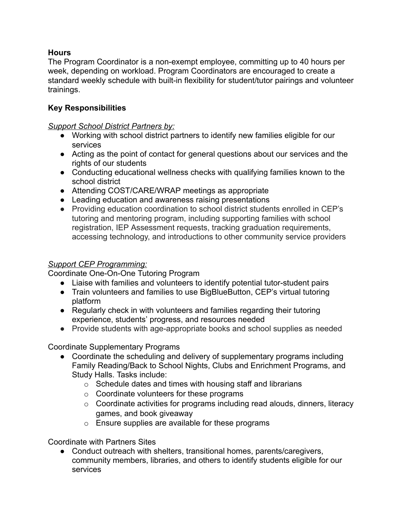### **Hours**

The Program Coordinator is a non-exempt employee, committing up to 40 hours per week, depending on workload. Program Coordinators are encouraged to create a standard weekly schedule with built-in flexibility for student/tutor pairings and volunteer trainings.

## **Key Responsibilities**

#### *Support School District Partners by:*

- Working with school district partners to identify new families eligible for our services
- Acting as the point of contact for general questions about our services and the rights of our students
- Conducting educational wellness checks with qualifying families known to the school district
- Attending COST/CARE/WRAP meetings as appropriate
- Leading education and awareness raising presentations
- Providing education coordination to school district students enrolled in CEP's tutoring and mentoring program, including supporting families with school registration, IEP Assessment requests, tracking graduation requirements, accessing technology, and introductions to other community service providers

### *Support CEP Programming:*

Coordinate One-On-One Tutoring Program

- Liaise with families and volunteers to identify potential tutor-student pairs
- Train volunteers and families to use BigBlueButton, CEP's virtual tutoring platform
- Regularly check in with volunteers and families regarding their tutoring experience, students' progress, and resources needed
- Provide students with age-appropriate books and school supplies as needed

Coordinate Supplementary Programs

- Coordinate the scheduling and delivery of supplementary programs including Family Reading/Back to School Nights, Clubs and Enrichment Programs, and Study Halls. Tasks include:
	- $\circ$  Schedule dates and times with housing staff and librarians
	- o Coordinate volunteers for these programs
	- o Coordinate activities for programs including read alouds, dinners, literacy games, and book giveaway
	- $\circ$  Ensure supplies are available for these programs

Coordinate with Partners Sites

● Conduct outreach with shelters, transitional homes, parents/caregivers, community members, libraries, and others to identify students eligible for our services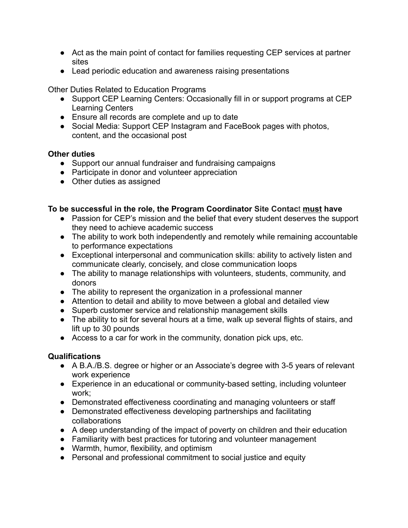- Act as the main point of contact for families requesting CEP services at partner sites
- Lead periodic education and awareness raising presentations

Other Duties Related to Education Programs

- Support CEP Learning Centers: Occasionally fill in or support programs at CEP Learning Centers
- Ensure all records are complete and up to date
- Social Media: Support CEP Instagram and FaceBook pages with photos, content, and the occasional post

# **Other duties**

- Support our annual fundraiser and fundraising campaigns
- Participate in donor and volunteer appreciation
- Other duties as assigned

## **To be successful in the role, the Program Coordinator Site Contac**t **must have**

- Passion for CEP's mission and the belief that every student deserves the support they need to achieve academic success
- The ability to work both independently and remotely while remaining accountable to performance expectations
- Exceptional interpersonal and communication skills: ability to actively listen and communicate clearly, concisely, and close communication loops
- The ability to manage relationships with volunteers, students, community, and donors
- The ability to represent the organization in a professional manner
- Attention to detail and ability to move between a global and detailed view
- Superb customer service and relationship management skills
- The ability to sit for several hours at a time, walk up several flights of stairs, and lift up to 30 pounds
- Access to a car for work in the community, donation pick ups, etc.

# **Qualifications**

- A B.A./B.S. degree or higher or an Associate's degree with 3-5 years of relevant work experience
- Experience in an educational or community-based setting, including volunteer work;
- Demonstrated effectiveness coordinating and managing volunteers or staff
- Demonstrated effectiveness developing partnerships and facilitating collaborations
- A deep understanding of the impact of poverty on children and their education
- Familiarity with best practices for tutoring and volunteer management
- Warmth, humor, flexibility, and optimism
- Personal and professional commitment to social justice and equity